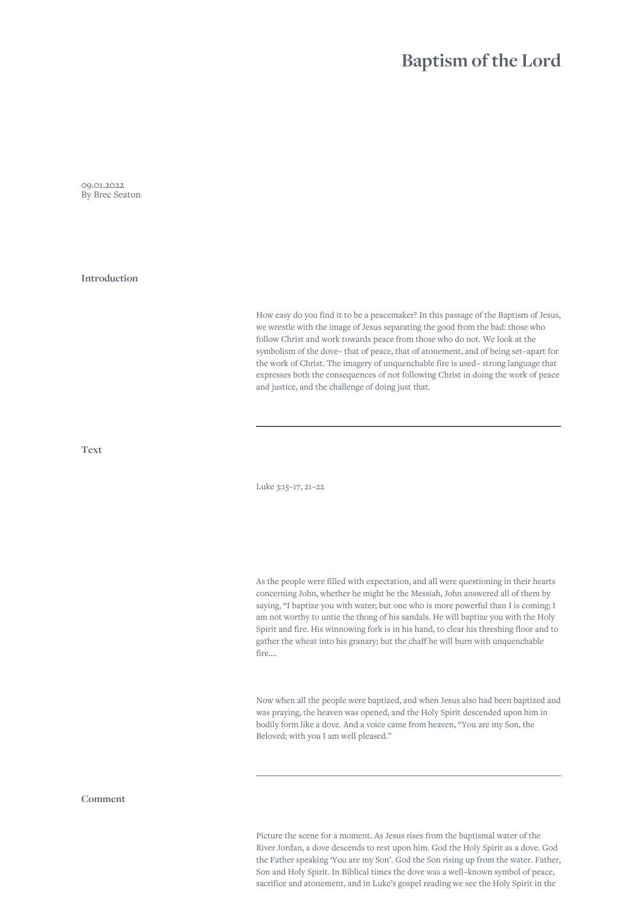## **Baptism of the Lord**

09.01.2022 By Brec Seaton

**Introduction**

How easy do you find it to be a peacemaker? In this passage of the Baptism of Jesus, we wrestle with the image of Jesus separating the good from the bad: those who follow Christ and work towards peace from those who do not. We look at the symbolism of the dove– that of peace, that of atonement, and of being set–apart for the work of Christ. The imagery of unquenchable fire is used– strong language that expresses both the consequences of not following Christ in doing the work of peace and justice, and the challenge of doing just that.

**Text**

Luke 3:15–17, 21–22

As the people were filled with expectation, and all were questioning in their hearts concerning John, whether he might be the Messiah, John answered all of them by saying, "I baptize you with water; but one who is more powerful than I is coming; I am not worthy to untie the thong of his sandals. He will baptize you with the Holy Spirit and fire. His winnowing fork is in his hand, to clear his threshing floor and to gather the wheat into his granary; but the chaff he will burn with unquenchable fire….

Now when all the people were baptized, and when Jesus also had been baptized and was praying, the heaven was opened, and the Holy Spirit descended upon him in bodily form like a dove. And a voice came from heaven, "You are my Son, the Beloved; with you I am well pleased."

**Comment**

Picture the scene for a moment. As Jesus rises from the baptismal water of the River Jordan, a dove descends to rest upon him. God the Holy Spirit as a dove. God the Father speaking 'You are my Son'. God the Son rising up from the water. Father, Son and Holy Spirit. In Biblical times the dove was a well–known symbol of peace, sacrifice and atonement, and in Luke's gospel reading we see the Holy Spirit in the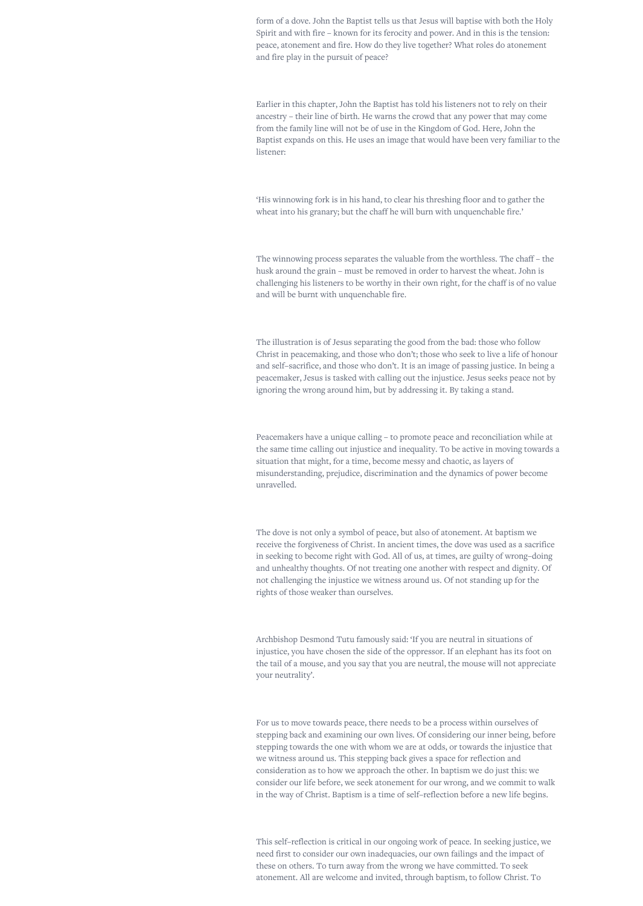form of a dove. John the Baptist tells us that Jesus will baptise with both the Holy Spirit and with fire – known for its ferocity and power. And in this is the tension: peace, atonement and fire. How do they live together? What roles do atonement and fire play in the pursuit of peace?

Earlier in this chapter, John the Baptist has told his listeners not to rely on their ancestry – their line of birth. He warns the crowd that any power that may come from the family line will not be of use in the Kingdom of God. Here, John the Baptist expands on this. He uses an image that would have been very familiar to the listener:

'His winnowing fork is in his hand, to clear his threshing floor and to gather the wheat into his granary; but the chaff he will burn with unquenchable fire.'

The winnowing process separates the valuable from the worthless. The chaff – the husk around the grain – must be removed in order to harvest the wheat. John is challenging his listeners to be worthy in their own right, for the chaff is of no value and will be burnt with unquenchable fire.

The illustration is of Jesus separating the good from the bad: those who follow Christ in peacemaking, and those who don't; those who seek to live a life of honour and self–sacrifice, and those who don't. It is an image of passing justice. In being a peacemaker, Jesus is tasked with calling out the injustice. Jesus seeks peace not by ignoring the wrong around him, but by addressing it. By taking a stand.

Peacemakers have a unique calling – to promote peace and reconciliation while at the same time calling out injustice and inequality. To be active in moving towards a situation that might, for a time, become messy and chaotic, as layers of misunderstanding, prejudice, discrimination and the dynamics of power become unravelled.

The dove is not only a symbol of peace, but also of atonement. At baptism we receive the forgiveness of Christ. In ancient times, the dove was used as a sacrifice in seeking to become right with God. All of us, at times, are guilty of wrong–doing and unhealthy thoughts. Of not treating one another with respect and dignity. Of not challenging the injustice we witness around us. Of not standing up for the rights of those weaker than ourselves.

Archbishop Desmond Tutu famously said: 'If you are neutral in situations of injustice, you have chosen the side of the oppressor. If an elephant has its foot on the tail of a mouse, and you say that you are neutral, the mouse will not appreciate your neutrality'.

For us to move towards peace, there needs to be a process within ourselves of stepping back and examining our own lives. Of considering our inner being, before stepping towards the one with whom we are at odds, or towards the injustice that we witness around us. This stepping back gives a space for reflection and consideration as to how we approach the other. In baptism we do just this: we consider our life before, we seek atonement for our wrong, and we commit to walk in the way of Christ. Baptism is a time of self–reflection before a new life begins.

This self–reflection is critical in our ongoing work of peace. In seeking justice, we need first to consider our own inadequacies, our own failings and the impact of these on others. To turn away from the wrong we have committed. To seek atonement. All are welcome and invited, through baptism, to follow Christ. To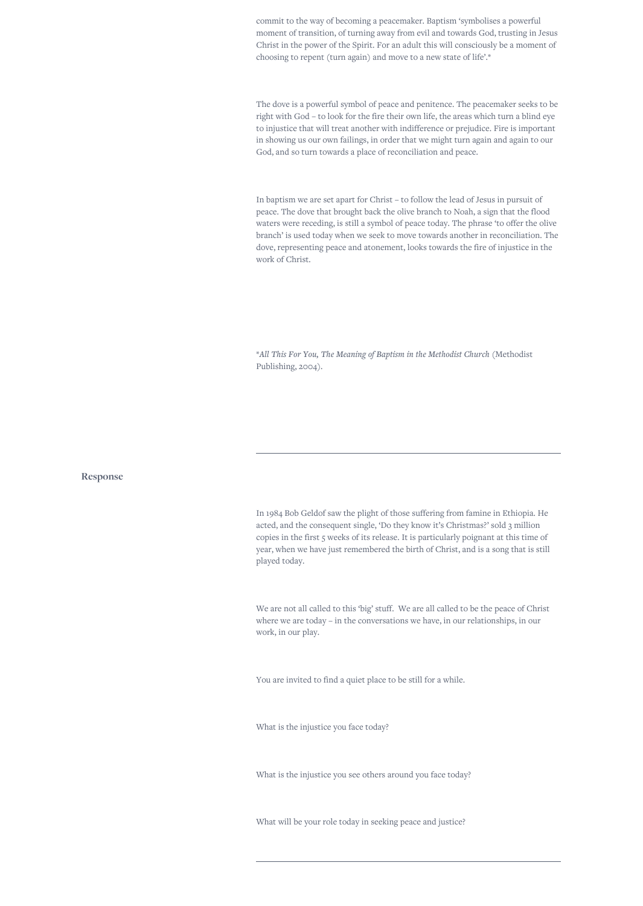commit to the way of becoming a peacemaker. Baptism 'symbolises a powerful moment of transition, of turning away from evil and towards God, trusting in Jesus Christ in the power of the Spirit. For an adult this will consciously be a moment of choosing to repent (turn again) and move to a new state of life'.\*

The dove is a powerful symbol of peace and penitence. The peacemaker seeks to be right with God – to look for the fire their own life, the areas which turn a blind eye to injustice that will treat another with indifference or prejudice. Fire is important in showing us our own failings, in order that we might turn again and again to our God, and so turn towards a place of reconciliation and peace.

In baptism we are set apart for Christ – to follow the lead of Jesus in pursuit of peace. The dove that brought back the olive branch to Noah, a sign that the flood waters were receding, is still a symbol of peace today. The phrase 'to offer the olive branch' is used today when we seek to move towards another in reconciliation. The dove, representing peace and atonement, looks towards the fire of injustice in the work of Christ.

\**All This For You, The Meaning of Baptism in the Methodist Church* (Methodist Publishing, 2004).

**Response**

In 1984 Bob Geldof saw the plight of those suffering from famine in Ethiopia. He acted, and the consequent single, 'Do they know it's Christmas?' sold 3 million copies in the first 5 weeks of its release. It is particularly poignant at this time of year, when we have just remembered the birth of Christ, and is a song that is still played today.

We are not all called to this 'big' stuff. We are all called to be the peace of Christ where we are today – in the conversations we have, in our relationships, in our work, in our play.

You are invited to find a quiet place to be still for a while.

What is the injustice you face today?

What is the injustice you see others around you face today?

What will be your role today in seeking peace and justice?